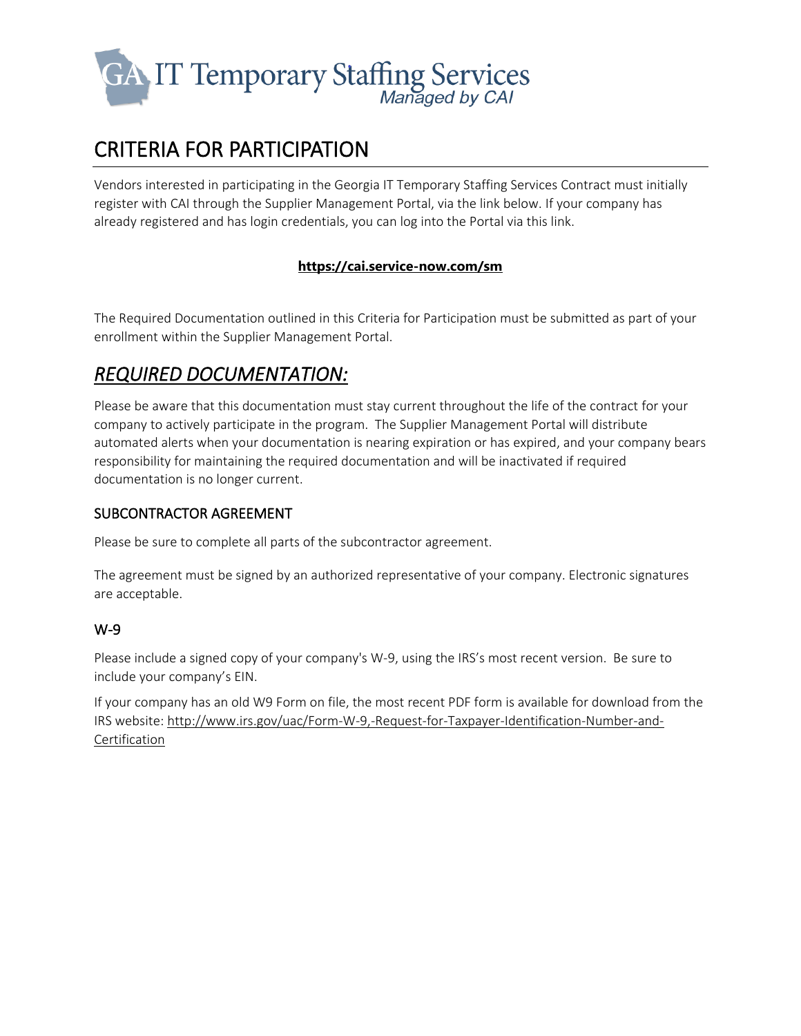

# CRITERIA FOR PARTICIPATION

Vendors interested in participating in the Georgia IT Temporary Staffing Services Contract must initially register with CAI through the Supplier Management Portal, via the link below. If your company has already registered and has login credentials, you can log into the Portal via this link.

#### **<https://cai.service-now.com/sm>**

The Required Documentation outlined in this Criteria for Participation must be submitted as part of your enrollment within the Supplier Management Portal.

# *REQUIRED DOCUMENTATION:*

Please be aware that this documentation must stay current throughout the life of the contract for your company to actively participate in the program. The Supplier Management Portal will distribute automated alerts when your documentation is nearing expiration or has expired, and your company bears responsibility for maintaining the required documentation and will be inactivated if required documentation is no longer current.

#### SUBCONTRACTOR AGREEMENT

Please be sure to complete all parts of the subcontractor agreement.

The agreement must be signed by an authorized representative of your company. Electronic signatures are acceptable.

#### W-9

Please include a signed copy of your company's W-9, using the IRS's most recent version. Be sure to include your company's EIN.

If your company has an old W9 Form on file, the most recent PDF form is available for download from the IRS website: [http://www.irs.gov/uac/Form-W-9,-Request-for-Taxpayer-Identification-Number-and-](http://www.irs.gov/uac/Form-W-9,-Request-for-Taxpayer-Identification-Number-and-Certification)[Certification](http://www.irs.gov/uac/Form-W-9,-Request-for-Taxpayer-Identification-Number-and-Certification)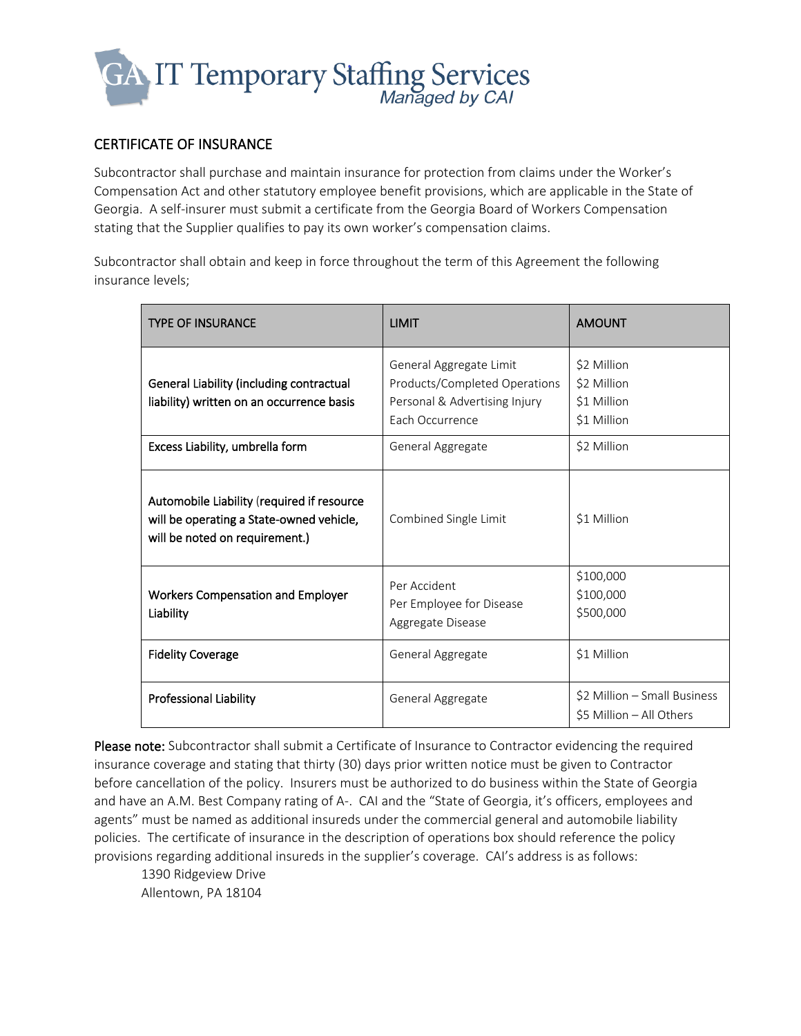

#### CERTIFICATE OF INSURANCE

Subcontractor shall purchase and maintain insurance for protection from claims under the Worker's Compensation Act and other statutory employee benefit provisions, which are applicable in the State of Georgia. A self-insurer must submit a certificate from the Georgia Board of Workers Compensation stating that the Supplier qualifies to pay its own worker's compensation claims.

Subcontractor shall obtain and keep in force throughout the term of this Agreement the following insurance levels;

| <b>TYPE OF INSURANCE</b>                                                                                                 | <b>LIMIT</b>                                                                                                 | <b>AMOUNT</b>                                            |
|--------------------------------------------------------------------------------------------------------------------------|--------------------------------------------------------------------------------------------------------------|----------------------------------------------------------|
| <b>General Liability (including contractual</b><br>liability) written on an occurrence basis                             | General Aggregate Limit<br>Products/Completed Operations<br>Personal & Advertising Injury<br>Each Occurrence | \$2 Million<br>\$2 Million<br>\$1 Million<br>\$1 Million |
| Excess Liability, umbrella form                                                                                          | General Aggregate                                                                                            | \$2 Million                                              |
| Automobile Liability (required if resource<br>will be operating a State-owned vehicle,<br>will be noted on requirement.) | Combined Single Limit                                                                                        | \$1 Million                                              |
| <b>Workers Compensation and Employer</b><br>Liability                                                                    | Per Accident<br>Per Employee for Disease<br>Aggregate Disease                                                | \$100,000<br>\$100,000<br>\$500,000                      |
| <b>Fidelity Coverage</b>                                                                                                 | General Aggregate                                                                                            | \$1 Million                                              |
| <b>Professional Liability</b>                                                                                            | General Aggregate                                                                                            | \$2 Million - Small Business<br>\$5 Million - All Others |

Please note: Subcontractor shall submit a Certificate of Insurance to Contractor evidencing the required insurance coverage and stating that thirty (30) days prior written notice must be given to Contractor before cancellation of the policy. Insurers must be authorized to do business within the State of Georgia and have an A.M. Best Company rating of A-. CAI and the "State of Georgia, it's officers, employees and agents" must be named as additional insureds under the commercial general and automobile liability policies. The certificate of insurance in the description of operations box should reference the policy provisions regarding additional insureds in the supplier's coverage. CAI's address is as follows:

1390 Ridgeview Drive Allentown, PA 18104